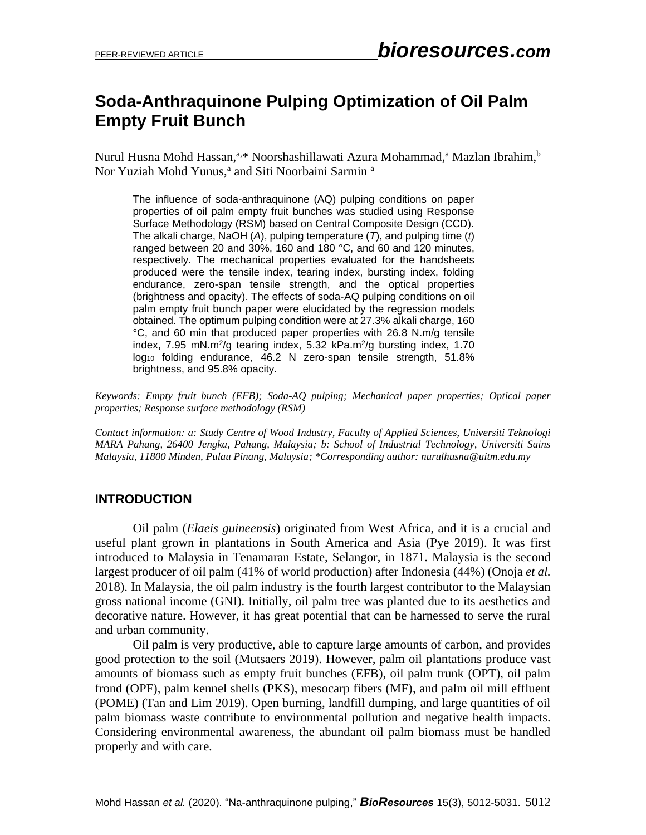# **Soda-Anthraquinone Pulping Optimization of Oil Palm Empty Fruit Bunch**

Nurul Husna Mohd Hassan,<sup>a,\*</sup> Noorshashillawati Azura Mohammad,<sup>a</sup> Mazlan Ibrahim,<sup>b</sup> Nor Yuziah Mohd Yunus,<sup>a</sup> and Siti Noorbaini Sarmin<sup>a</sup>

The influence of soda-anthraquinone (AQ) pulping conditions on paper properties of oil palm empty fruit bunches was studied using Response Surface Methodology (RSM) based on Central Composite Design (CCD). The alkali charge, NaOH (*A*), pulping temperature (*T*), and pulping time (*t*) ranged between 20 and 30%, 160 and 180 °C, and 60 and 120 minutes, respectively. The mechanical properties evaluated for the handsheets produced were the tensile index, tearing index, bursting index, folding endurance, zero-span tensile strength, and the optical properties (brightness and opacity). The effects of soda-AQ pulping conditions on oil palm empty fruit bunch paper were elucidated by the regression models obtained. The optimum pulping condition were at 27.3% alkali charge, 160 °C, and 60 min that produced paper properties with 26.8 N.m/g tensile index,  $7.95$  mN.m<sup>2</sup>/g tearing index,  $5.32$  kPa.m<sup>2</sup>/g bursting index,  $1.70$ log<sub>10</sub> folding endurance, 46.2 N zero-span tensile strength, 51.8% brightness, and 95.8% opacity.

*Keywords: Empty fruit bunch (EFB); Soda-AQ pulping; Mechanical paper properties; Optical paper properties; Response surface methodology (RSM)*

*Contact information: a: Study Centre of Wood Industry, Faculty of Applied Sciences, Universiti Teknologi MARA Pahang, 26400 Jengka, Pahang, Malaysia; b: School of Industrial Technology, Universiti Sains Malaysia, 11800 Minden, Pulau Pinang, Malaysia; \*Corresponding author: nurulhusna@uitm.edu.my*

# **INTRODUCTION**

Oil palm (*Elaeis guineensis*) originated from West Africa, and it is a crucial and useful plant grown in plantations in South America and Asia (Pye 2019). It was first introduced to Malaysia in Tenamaran Estate, Selangor, in 1871. Malaysia is the second largest producer of oil palm (41% of world production) after Indonesia (44%) (Onoja *et al.* 2018). In Malaysia, the oil palm industry is the fourth largest contributor to the Malaysian gross national income (GNI). Initially, oil palm tree was planted due to its aesthetics and decorative nature. However, it has great potential that can be harnessed to serve the rural and urban community.

Oil palm is very productive, able to capture large amounts of carbon, and provides good protection to the soil (Mutsaers 2019). However, palm oil plantations produce vast amounts of biomass such as empty fruit bunches (EFB), oil palm trunk (OPT), oil palm frond (OPF), palm kennel shells (PKS), mesocarp fibers (MF), and palm oil mill effluent (POME) (Tan and Lim 2019). Open burning, landfill dumping, and large quantities of oil palm biomass waste contribute to environmental pollution and negative health impacts. Considering environmental awareness, the abundant oil palm biomass must be handled properly and with care.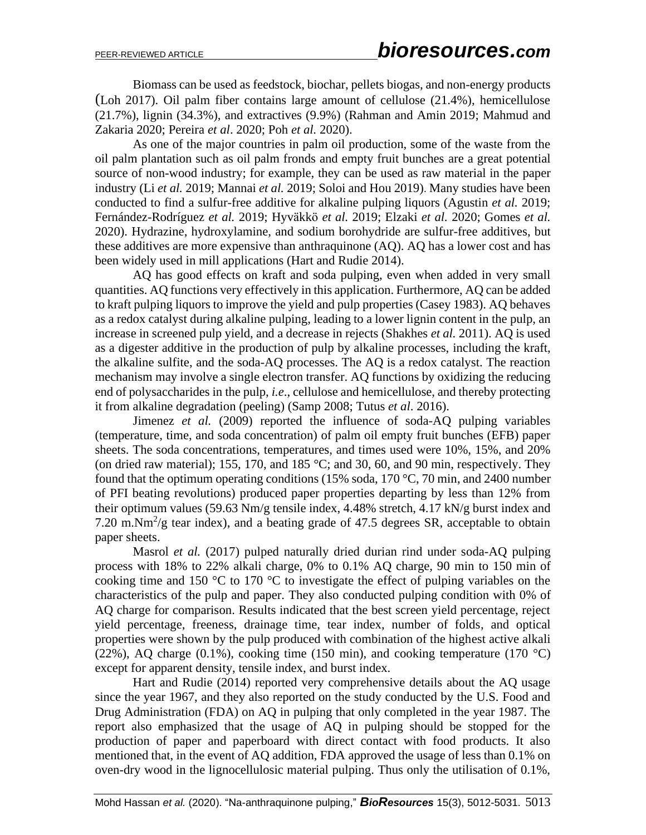Biomass can be used as feedstock, biochar, pellets biogas, and non-energy products (Loh 2017). Oil palm fiber contains large amount of cellulose (21.4%), hemicellulose (21.7%), lignin (34.3%), and extractives (9.9%) (Rahman and Amin 2019; Mahmud and Zakaria 2020; Pereira *et al*. 2020; Poh *et al.* 2020).

As one of the major countries in palm oil production, some of the waste from the oil palm plantation such as oil palm fronds and empty fruit bunches are a great potential source of non-wood industry; for example, they can be used as raw material in the paper industry (Li *et al.* 2019; Mannai *et al.* 2019; Soloi and Hou 2019). Many studies have been conducted to find a sulfur-free additive for alkaline pulping liquors (Agustin *et al.* 2019; Fernández-Rodríguez *et al.* 2019; Hyväkkö *et al.* 2019; Elzaki *et al.* 2020; Gomes *et al.*  2020). Hydrazine, hydroxylamine, and sodium borohydride are sulfur-free additives, but these additives are more expensive than anthraquinone (AQ). AQ has a lower cost and has been widely used in mill applications (Hart and Rudie 2014).

AQ has good effects on kraft and soda pulping, even when added in very small quantities. AQ functions very effectively in this application. Furthermore, AQ can be added to kraft pulping liquors to improve the yield and pulp properties (Casey 1983). AQ behaves as a redox catalyst during alkaline pulping, leading to a lower lignin content in the pulp, an increase in screened pulp yield, and a decrease in rejects (Shakhes *et al.* 2011). AQ is used as a digester additive in the production of pulp by alkaline processes, including the kraft, the alkaline sulfite, and the soda-AQ processes. The AQ is a redox catalyst. The reaction mechanism may involve a single electron transfer. AQ functions by oxidizing the reducing end of polysaccharides in the pulp, *i.e*., cellulose and hemicellulose, and thereby protecting it from alkaline degradation (peeling) (Samp 2008; Tutus *et al*. 2016).

Jimenez *et al.* (2009) reported the influence of soda-AQ pulping variables (temperature, time, and soda concentration) of palm oil empty fruit bunches (EFB) paper sheets. The soda concentrations, temperatures, and times used were 10%, 15%, and 20% (on dried raw material); 155, 170, and 185 °C; and 30, 60, and 90 min, respectively. They found that the optimum operating conditions (15% soda, 170 °C, 70 min, and 2400 number of PFI beating revolutions) produced paper properties departing by less than 12% from their optimum values (59.63 Nm/g tensile index, 4.48% stretch, 4.17 kN/g burst index and 7.20 m.Nm<sup>2</sup>/g tear index), and a beating grade of 47.5 degrees SR, acceptable to obtain paper sheets.

Masrol *et al.* (2017) pulped naturally dried durian rind under soda-AQ pulping process with 18% to 22% alkali charge, 0% to 0.1% AQ charge, 90 min to 150 min of cooking time and 150  $\degree$ C to 170  $\degree$ C to investigate the effect of pulping variables on the characteristics of the pulp and paper. They also conducted pulping condition with 0% of AQ charge for comparison. Results indicated that the best screen yield percentage, reject yield percentage, freeness, drainage time, tear index, number of folds, and optical properties were shown by the pulp produced with combination of the highest active alkali (22%), AQ charge (0.1%), cooking time (150 min), and cooking temperature (170  $^{\circ}$ C) except for apparent density, tensile index, and burst index.

Hart and Rudie (2014) reported very comprehensive details about the AQ usage since the year 1967, and they also reported on the study conducted by the U.S. Food and Drug Administration (FDA) on AQ in pulping that only completed in the year 1987. The report also emphasized that the usage of AQ in pulping should be stopped for the production of paper and paperboard with direct contact with food products. It also mentioned that, in the event of AQ addition, FDA approved the usage of less than 0.1% on oven-dry wood in the lignocellulosic material pulping. Thus only the utilisation of 0.1%,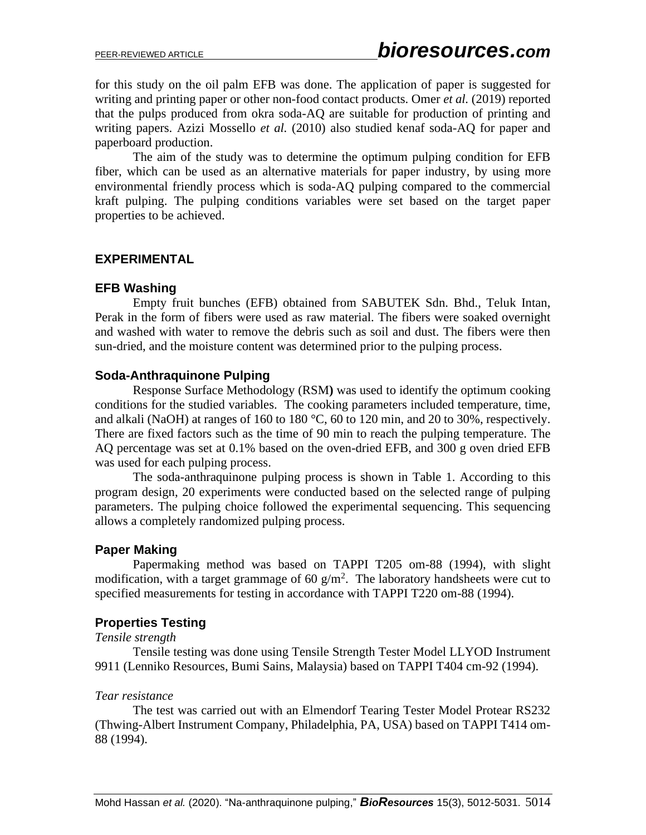for this study on the oil palm EFB was done. The application of paper is suggested for writing and printing paper or other non-food contact products. Omer *et al.* (2019) reported that the pulps produced from okra soda-AQ are suitable for production of printing and writing papers. Azizi Mossello *et al.* (2010) also studied kenaf soda-AQ for paper and paperboard production.

The aim of the study was to determine the optimum pulping condition for EFB fiber, which can be used as an alternative materials for paper industry, by using more environmental friendly process which is soda-AQ pulping compared to the commercial kraft pulping. The pulping conditions variables were set based on the target paper properties to be achieved.

# **EXPERIMENTAL**

#### **EFB Washing**

Empty fruit bunches (EFB) obtained from SABUTEK Sdn. Bhd., Teluk Intan, Perak in the form of fibers were used as raw material. The fibers were soaked overnight and washed with water to remove the debris such as soil and dust. The fibers were then sun-dried, and the moisture content was determined prior to the pulping process.

### **Soda-Anthraquinone Pulping**

Response Surface Methodology (RSM**)** was used to identify the optimum cooking conditions for the studied variables. The cooking parameters included temperature, time, and alkali (NaOH) at ranges of 160 to 180 °C, 60 to 120 min, and 20 to 30%, respectively. There are fixed factors such as the time of 90 min to reach the pulping temperature. The AQ percentage was set at 0.1% based on the oven-dried EFB, and 300 g oven dried EFB was used for each pulping process.

The soda-anthraquinone pulping process is shown in Table 1. According to this program design, 20 experiments were conducted based on the selected range of pulping parameters. The pulping choice followed the experimental sequencing. This sequencing allows a completely randomized pulping process.

# **Paper Making**

Papermaking method was based on TAPPI T205 om-88 (1994), with slight modification, with a target grammage of 60  $g/m^2$ . The laboratory handsheets were cut to specified measurements for testing in accordance with TAPPI T220 om-88 (1994).

#### **Properties Testing**

#### *Tensile strength*

Tensile testing was done using Tensile Strength Tester Model LLYOD Instrument 9911 (Lenniko Resources, Bumi Sains, Malaysia) based on TAPPI T404 cm-92 (1994).

#### *Tear resistance*

The test was carried out with an Elmendorf Tearing Tester Model Protear RS232 (Thwing-Albert Instrument Company, Philadelphia, PA, USA) based on TAPPI T414 om-88 (1994).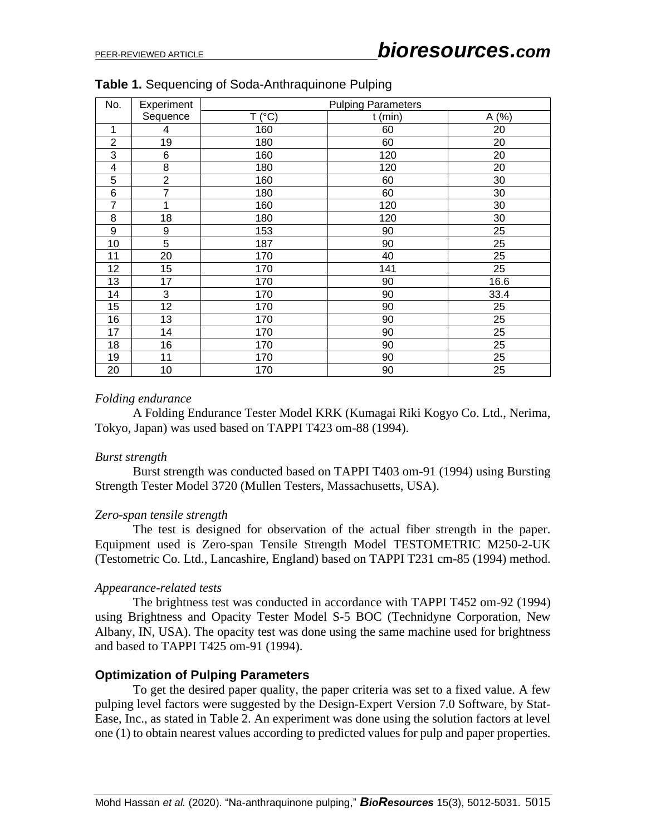| No.            | Experiment       |        | <b>Pulping Parameters</b> |       |
|----------------|------------------|--------|---------------------------|-------|
|                | Sequence         | T (°C) | $t$ (min)                 | A (%) |
| 1              | 4                | 160    | 60                        | 20    |
| $\overline{2}$ | 19               | 180    | 60                        | 20    |
| 3              | 6                | 160    | 120                       | 20    |
| 4              | 8                | 180    | 120                       | 20    |
| 5              | $\overline{2}$   | 160    | 60                        | 30    |
| 6              | $\overline{7}$   | 180    | 60                        | 30    |
| 7              | 1                | 160    | 120                       | 30    |
| 8              | 18               | 180    | 120                       | 30    |
| 9              | $\boldsymbol{9}$ | 153    | 90                        | 25    |
| 10             | $\overline{5}$   | 187    | 90                        | 25    |
| 11             | 20               | 170    | 40                        | 25    |
| 12             | 15               | 170    | 141                       | 25    |
| 13             | 17               | 170    | 90                        | 16.6  |
| 14             | 3                | 170    | 90                        | 33.4  |
| 15             | 12               | 170    | 90                        | 25    |
| 16             | 13               | 170    | 90                        | 25    |
| 17             | 14               | 170    | 90                        | 25    |
| 18             | 16               | 170    | 90                        | 25    |
| 19             | 11               | 170    | 90                        | 25    |
| 20             | 10               | 170    | 90                        | 25    |

|  |  |  | Table 1. Sequencing of Soda-Anthraquinone Pulping |  |  |
|--|--|--|---------------------------------------------------|--|--|
|--|--|--|---------------------------------------------------|--|--|

#### *Folding endurance*

A Folding Endurance Tester Model KRK (Kumagai Riki Kogyo Co. Ltd., Nerima, Tokyo, Japan) was used based on TAPPI T423 om-88 (1994).

#### *Burst strength*

Burst strength was conducted based on TAPPI T403 om-91 (1994) using Bursting Strength Tester Model 3720 (Mullen Testers, Massachusetts, USA).

#### *Zero-span tensile strength*

The test is designed for observation of the actual fiber strength in the paper. Equipment used is Zero-span Tensile Strength Model TESTOMETRIC M250-2-UK (Testometric Co. Ltd., Lancashire, England) based on TAPPI T231 cm-85 (1994) method.

#### *Appearance-related tests*

The brightness test was conducted in accordance with TAPPI T452 om-92 (1994) using Brightness and Opacity Tester Model S-5 BOC (Technidyne Corporation, New Albany, IN, USA). The opacity test was done using the same machine used for brightness and based to TAPPI T425 om-91 (1994).

#### **Optimization of Pulping Parameters**

To get the desired paper quality, the paper criteria was set to a fixed value. A few pulping level factors were suggested by the Design-Expert Version 7.0 Software, by Stat-Ease, Inc., as stated in Table 2. An experiment was done using the solution factors at level one (1) to obtain nearest values according to predicted values for pulp and paper properties.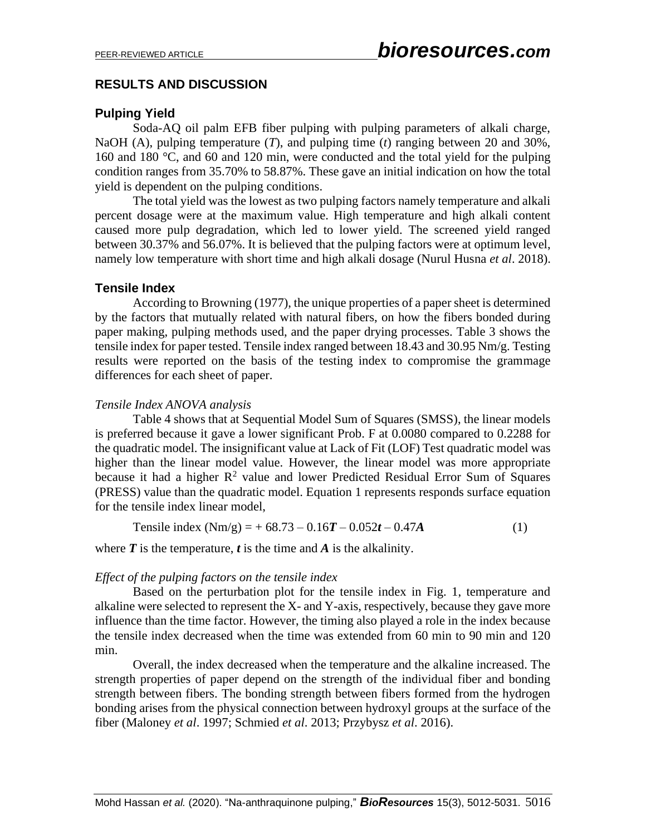# **RESULTS AND DISCUSSION**

# **Pulping Yield**

Soda-AQ oil palm EFB fiber pulping with pulping parameters of alkali charge, NaOH (A), pulping temperature (*T*), and pulping time (*t*) ranging between 20 and 30%, 160 and 180 °C, and 60 and 120 min, were conducted and the total yield for the pulping condition ranges from 35.70% to 58.87%. These gave an initial indication on how the total yield is dependent on the pulping conditions.

The total yield was the lowest as two pulping factors namely temperature and alkali percent dosage were at the maximum value. High temperature and high alkali content caused more pulp degradation, which led to lower yield. The screened yield ranged between 30.37% and 56.07%. It is believed that the pulping factors were at optimum level, namely low temperature with short time and high alkali dosage (Nurul Husna *et al*. 2018).

# **Tensile Index**

According to Browning (1977), the unique properties of a paper sheet is determined by the factors that mutually related with natural fibers, on how the fibers bonded during paper making, pulping methods used, and the paper drying processes. Table 3 shows the tensile index for paper tested. Tensile index ranged between 18.43 and 30.95 Nm/g. Testing results were reported on the basis of the testing index to compromise the grammage differences for each sheet of paper.

#### *Tensile Index ANOVA analysis*

Table 4 shows that at Sequential Model Sum of Squares (SMSS), the linear models is preferred because it gave a lower significant Prob. F at 0.0080 compared to 0.2288 for the quadratic model. The insignificant value at Lack of Fit (LOF) Test quadratic model was higher than the linear model value. However, the linear model was more appropriate because it had a higher  $R^2$  value and lower Predicted Residual Error Sum of Squares (PRESS) value than the quadratic model. Equation 1 represents responds surface equation for the tensile index linear model,

Tensile index 
$$
(Nm/g) = +68.73 - 0.16T - 0.052t - 0.47A
$$
 (1)

where  $\boldsymbol{T}$  is the temperature,  $\boldsymbol{t}$  is the time and  $\boldsymbol{A}$  is the alkalinity.

#### *Effect of the pulping factors on the tensile index*

Based on the perturbation plot for the tensile index in Fig. 1, temperature and alkaline were selected to represent the X- and Y-axis, respectively, because they gave more influence than the time factor. However, the timing also played a role in the index because the tensile index decreased when the time was extended from 60 min to 90 min and 120 min.

Overall, the index decreased when the temperature and the alkaline increased. The strength properties of paper depend on the strength of the individual fiber and bonding strength between fibers. The bonding strength between fibers formed from the hydrogen bonding arises from the physical connection between hydroxyl groups at the surface of the fiber (Maloney *et al*. 1997; Schmied *et al*. 2013; Przybysz *et al*. 2016).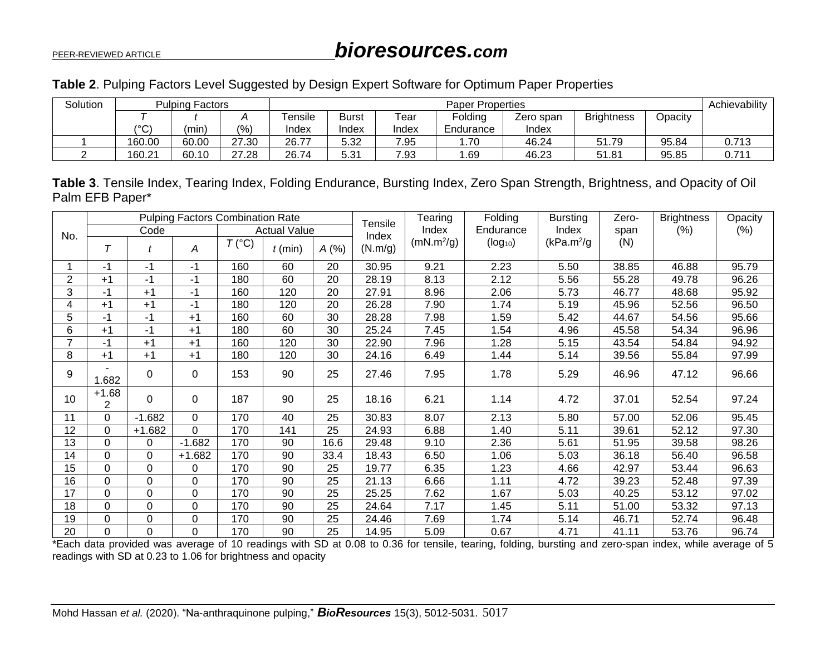|  |  |  | Table 2. Pulping Factors Level Suggested by Design Expert Software for Optimum Paper Properties |  |  |
|--|--|--|-------------------------------------------------------------------------------------------------|--|--|
|  |  |  |                                                                                                 |  |  |

| Solution |         | <b>Pulping Factors</b> |       |         | <b>Paper Properties</b>                                           |       |           |       |       |         | Achievability |
|----------|---------|------------------------|-------|---------|-------------------------------------------------------------------|-------|-----------|-------|-------|---------|---------------|
|          |         |                        |       | Tensile | <b>Brightness</b><br>Folding<br>Tear<br><b>Burst</b><br>Zero span |       |           |       |       | Opacity |               |
|          | ۱۰<br>◡ | (min                   | (%)   | Index   | Index                                                             | Index | Endurance | Index |       |         |               |
|          | 160.00  | 60.00                  | 27.30 | 26.77   | 5.32                                                              | 7.95  | 70.،      | 46.24 | 51.79 | 95.84   | 0.713         |
|          | 160.21  | 60.10                  | 27.28 | 26.74   | 5.31                                                              | 7.93  | .69       | 46.23 | 51.81 | 95.85   | 0.711         |

**Table 3**. Tensile Index, Tearing Index, Folding Endurance, Bursting Index, Zero Span Strength, Brightness, and Opacity of Oil Palm EFB Paper\*

|                |              |          | <b>Pulping Factors Combination Rate</b> |                |                     |      | Tensile | Tearing                | Folding      | <b>Bursting</b>         | Zero- | <b>Brightness</b> | Opacity |
|----------------|--------------|----------|-----------------------------------------|----------------|---------------------|------|---------|------------------------|--------------|-------------------------|-------|-------------------|---------|
| No.            |              | Code     |                                         |                | <b>Actual Value</b> |      | Index   | Index                  | Endurance    | Index                   | span  | (%)               | (%)     |
|                | T            | t        | Α                                       | $T(^{\circ}C)$ | $t$ (min)           | A(%) | (N.m/g) | (mN.m <sup>2</sup> /g) | $(log_{10})$ | (kPa.m <sup>2</sup> /g) | (N)   |                   |         |
|                | -1           | $-1$     | $-1$                                    | 160            | 60                  | 20   | 30.95   | 9.21                   | 2.23         | 5.50                    | 38.85 | 46.88             | 95.79   |
| $\overline{2}$ | $+1$         | -1       | -1                                      | 180            | 60                  | 20   | 28.19   | 8.13                   | 2.12         | 5.56                    | 55.28 | 49.78             | 96.26   |
| 3              | -1           | $+1$     | -1                                      | 160            | 120                 | 20   | 27.91   | 8.96                   | 2.06         | 5.73                    | 46.77 | 48.68             | 95.92   |
| 4              | $+1$         | $+1$     | $-1$                                    | 180            | 120                 | 20   | 26.28   | 7.90                   | 1.74         | 5.19                    | 45.96 | 52.56             | 96.50   |
| 5              | $-1$         | -1       | $+1$                                    | 160            | 60                  | 30   | 28.28   | 7.98                   | 1.59         | 5.42                    | 44.67 | 54.56             | 95.66   |
| 6              | $+1$         | -1       | $+1$                                    | 180            | 60                  | 30   | 25.24   | 7.45                   | 1.54         | 4.96                    | 45.58 | 54.34             | 96.96   |
| $\overline{7}$ | -1           | $+1$     | $+1$                                    | 160            | 120                 | 30   | 22.90   | 7.96                   | 1.28         | 5.15                    | 43.54 | 54.84             | 94.92   |
| 8              | $+1$         | $+1$     | $+1$                                    | 180            | 120                 | 30   | 24.16   | 6.49                   | 1.44         | 5.14                    | 39.56 | 55.84             | 97.99   |
| 9              | 1.682        | 0        | 0                                       | 153            | 90                  | 25   | 27.46   | 7.95                   | 1.78         | 5.29                    | 46.96 | 47.12             | 96.66   |
| 10             | $+1.68$<br>2 | $\Omega$ | 0                                       | 187            | 90                  | 25   | 18.16   | 6.21                   | 1.14         | 4.72                    | 37.01 | 52.54             | 97.24   |
| 11             | $\Omega$     | $-1.682$ | $\Omega$                                | 170            | 40                  | 25   | 30.83   | 8.07                   | 2.13         | 5.80                    | 57.00 | 52.06             | 95.45   |
| 12             | $\Omega$     | $+1.682$ | $\Omega$                                | 170            | 141                 | 25   | 24.93   | 6.88                   | 1.40         | 5.11                    | 39.61 | 52.12             | 97.30   |
| 13             | $\Omega$     | 0        | $-1.682$                                | 170            | 90                  | 16.6 | 29.48   | 9.10                   | 2.36         | 5.61                    | 51.95 | 39.58             | 98.26   |
| 14             | $\Omega$     | 0        | $+1.682$                                | 170            | 90                  | 33.4 | 18.43   | 6.50                   | 1.06         | 5.03                    | 36.18 | 56.40             | 96.58   |
| 15             | $\mathbf 0$  | 0        | 0                                       | 170            | 90                  | 25   | 19.77   | 6.35                   | 1.23         | 4.66                    | 42.97 | 53.44             | 96.63   |
| 16             | $\mathbf 0$  | 0        | $\Omega$                                | 170            | 90                  | 25   | 21.13   | 6.66                   | 1.11         | 4.72                    | 39.23 | 52.48             | 97.39   |
| 17             | $\Omega$     | 0        | $\mathbf 0$                             | 170            | 90                  | 25   | 25.25   | 7.62                   | 1.67         | 5.03                    | 40.25 | 53.12             | 97.02   |
| 18             | $\Omega$     | 0        | 0                                       | 170            | 90                  | 25   | 24.64   | 7.17                   | 1.45         | 5.11                    | 51.00 | 53.32             | 97.13   |
| 19             | $\Omega$     | 0        | 0                                       | 170            | 90                  | 25   | 24.46   | 7.69                   | 1.74         | 5.14                    | 46.71 | 52.74             | 96.48   |
| 20             | $\Omega$     | 0        | 0                                       | 170            | 90                  | 25   | 14.95   | 5.09                   | 0.67         | 4.71                    | 41.11 | 53.76             | 96.74   |

\*Each data provided was average of 10 readings with SD at 0.08 to 0.36 for tensile, tearing, folding, bursting and zero-span index, while average of 5 readings with SD at 0.23 to 1.06 for brightness and opacity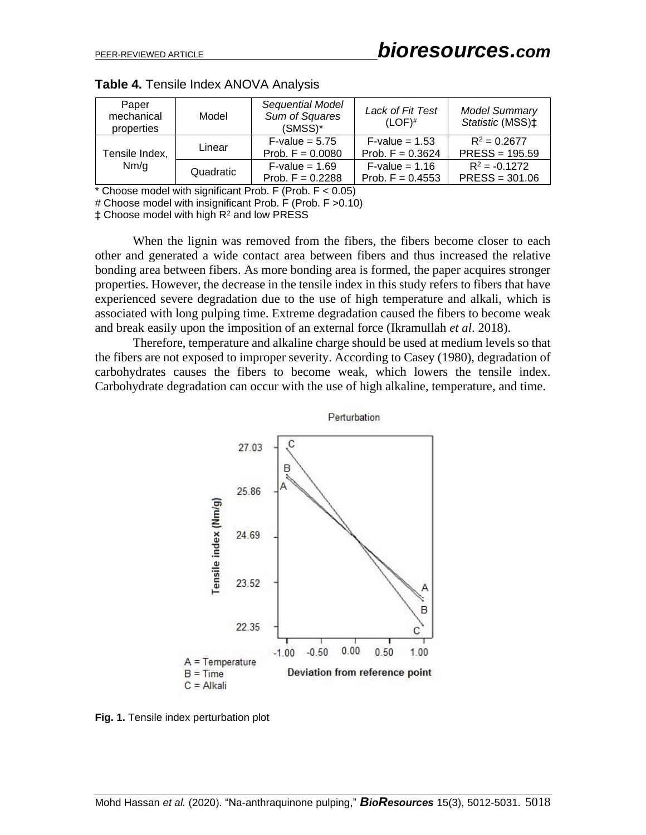| Paper<br>mechanical<br>properties | Model     | Sequential Model<br>Sum of Squares<br>(SMSS)* | Lack of Fit Test<br>$(LOF)^#$                 | <b>Model Summary</b><br>Statistic (MSS) <sup>+</sup> |
|-----------------------------------|-----------|-----------------------------------------------|-----------------------------------------------|------------------------------------------------------|
| Tensile Index,                    | Linear    | $F-value = 5.75$<br>Prob. $F = 0.0080$        | $F\text{-value} = 1.53$<br>Prob. $F = 0.3624$ | $R^2 = 0.2677$<br>$PRESS = 195.59$                   |
| Nm/g                              | Quadratic | $F-value = 1.69$<br>Prob. $F = 0.2288$        | $F-value = 1.16$<br>Prob. $F = 0.4553$        | $R^2 = -0.1272$<br>$PRESS = 301.06$                  |

**Table 4.** Tensile Index ANOVA Analysis

\* Choose model with significant Prob. F (Prob.  $F < 0.05$ )

# Choose model with insignificant Prob. F (Prob. F >0.10)

 $±$  Choose model with high  $R<sup>2</sup>$  and low PRESS

When the lignin was removed from the fibers, the fibers become closer to each other and generated a wide contact area between fibers and thus increased the relative bonding area between fibers. As more bonding area is formed, the paper acquires stronger properties. However, the decrease in the tensile index in this study refers to fibers that have experienced severe degradation due to the use of high temperature and alkali, which is associated with long pulping time. Extreme degradation caused the fibers to become weak and break easily upon the imposition of an external force (Ikramullah *et al*. 2018).

Therefore, temperature and alkaline charge should be used at medium levels so that the fibers are not exposed to improper severity. According to Casey (1980), degradation of carbohydrates causes the fibers to become weak, which lowers the tensile index. Carbohydrate degradation can occur with the use of high alkaline, temperature, and time.



**Fig. 1.** Tensile index perturbation plot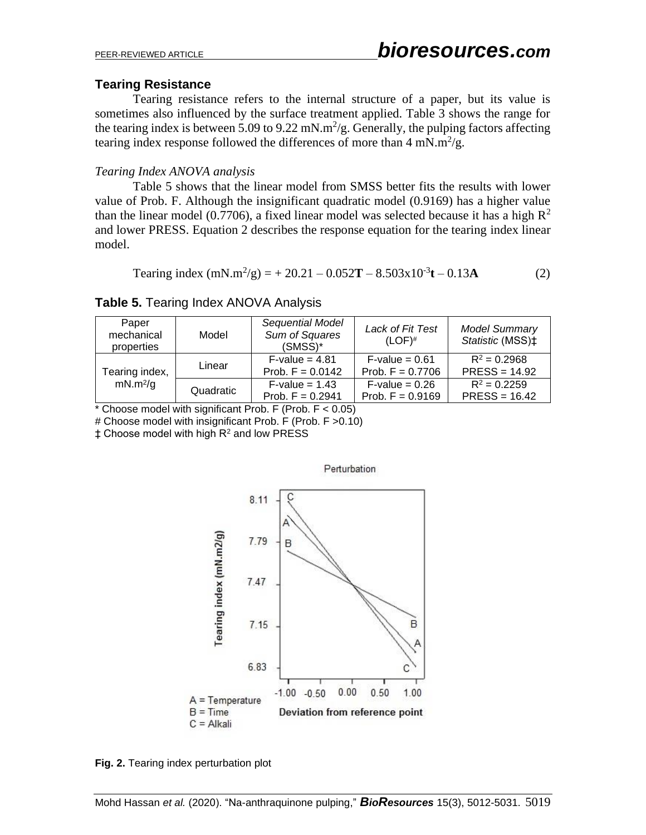# **Tearing Resistance**

Tearing resistance refers to the internal structure of a paper, but its value is sometimes also influenced by the surface treatment applied. Table 3 shows the range for the tearing index is between 5.09 to 9.22 mN.m<sup>2</sup>/g. Generally, the pulping factors affecting tearing index response followed the differences of more than  $4 \text{ mN} \cdot \text{m}^2/\text{g}$ .

### *Tearing Index ANOVA analysis*

Table 5 shows that the linear model from SMSS better fits the results with lower value of Prob. F. Although the insignificant quadratic model (0.9169) has a higher value than the linear model (0.7706), a fixed linear model was selected because it has a high  $R^2$ and lower PRESS. Equation 2 describes the response equation for the tearing index linear model.

Tearing index 
$$
(mN.m^2/g) = +20.21 - 0.052T - 8.503x10^{-3}t - 0.13A
$$
 (2)

# **Table 5.** Tearing Index ANOVA Analysis

| Paper<br>mechanical<br>properties | Model     | Sequential Model<br>Sum of Squares<br>$(SMSS)^*$ | Lack of Fit Test<br>$(LOF)^#$                 | <b>Model Summary</b><br>Statistic (MSS) <sup>+</sup> |
|-----------------------------------|-----------|--------------------------------------------------|-----------------------------------------------|------------------------------------------------------|
| Tearing index,                    | Linear    | $F\text{-value} = 4.81$<br>Prob. $F = 0.0142$    | $F$ -value = 0.61<br>Prob. $F = 0.7706$       | $R^2 = 0.2968$<br>$PRESS = 14.92$                    |
| mN.m <sup>2</sup> /g              | Quadratic | $F-value = 1.43$<br>Prob. $F = 0.2941$           | $F\text{-value} = 0.26$<br>Prob. $F = 0.9169$ | $R^2 = 0.2259$<br>$PRESS = 16.42$                    |

 $*$  Choose model with significant Prob. F (Prob.  $F < 0.05$ )

# Choose model with insignificant Prob. F (Prob. F >0.10)

‡ Choose model with high R<sup>2</sup> and low PRESS



**Fig. 2.** Tearing index perturbation plot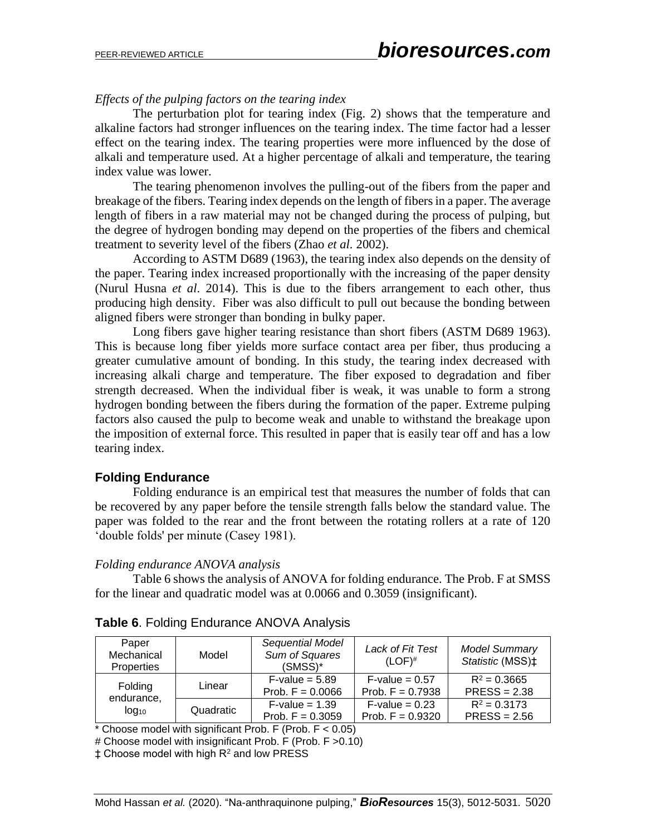### *Effects of the pulping factors on the tearing index*

The perturbation plot for tearing index (Fig. 2) shows that the temperature and alkaline factors had stronger influences on the tearing index. The time factor had a lesser effect on the tearing index. The tearing properties were more influenced by the dose of alkali and temperature used. At a higher percentage of alkali and temperature, the tearing index value was lower.

The tearing phenomenon involves the pulling-out of the fibers from the paper and breakage of the fibers. Tearing index depends on the length of fibers in a paper. The average length of fibers in a raw material may not be changed during the process of pulping, but the degree of hydrogen bonding may depend on the properties of the fibers and chemical treatment to severity level of the fibers (Zhao *et al.* 2002).

According to ASTM D689 (1963), the tearing index also depends on the density of the paper. Tearing index increased proportionally with the increasing of the paper density (Nurul Husna *et al*. 2014). This is due to the fibers arrangement to each other, thus producing high density. Fiber was also difficult to pull out because the bonding between aligned fibers were stronger than bonding in bulky paper.

Long fibers gave higher tearing resistance than short fibers (ASTM D689 1963). This is because long fiber yields more surface contact area per fiber, thus producing a greater cumulative amount of bonding. In this study, the tearing index decreased with increasing alkali charge and temperature. The fiber exposed to degradation and fiber strength decreased. When the individual fiber is weak, it was unable to form a strong hydrogen bonding between the fibers during the formation of the paper. Extreme pulping factors also caused the pulp to become weak and unable to withstand the breakage upon the imposition of external force. This resulted in paper that is easily tear off and has a low tearing index.

# **Folding Endurance**

Folding endurance is an empirical test that measures the number of folds that can be recovered by any paper before the tensile strength falls below the standard value. The paper was folded to the rear and the front between the rotating rollers at a rate of 120 'double folds' per minute (Casey 1981).

#### *Folding endurance ANOVA analysis*

Table 6 shows the analysis of ANOVA for folding endurance. The Prob. F at SMSS for the linear and quadratic model was at 0.0066 and 0.3059 (insignificant).

| Paper<br>Mechanical<br><b>Properties</b>     | Model     | Sequential Model<br>Sum of Squares<br>$(SMSS)^*$ | Lack of Fit Test<br>$(LOF)^{#}$               | <b>Model Summary</b><br>Statistic (MSS) <sup>+</sup> |
|----------------------------------------------|-----------|--------------------------------------------------|-----------------------------------------------|------------------------------------------------------|
| Folding                                      | Linear    | $F-value = 5.89$<br>Prob. $F = 0.0066$           | $F\text{-value} = 0.57$<br>Prob. $F = 0.7938$ | $R^2 = 0.3665$<br>$PRESS = 2.38$                     |
| endurance,<br>I <sub>0</sub> q <sub>10</sub> | Quadratic | $F\text{-value} = 1.39$<br>Prob. $F = 0.3059$    | $F\text{-value} = 0.23$<br>Prob. $F = 0.9320$ | $R^2 = 0.3173$<br>$PRESS = 2.56$                     |

| Table 6. Folding Endurance ANOVA Analysis |  |
|-------------------------------------------|--|
|-------------------------------------------|--|

 $*$  Choose model with significant Prob. F (Prob.  $F < 0.05$ )

# Choose model with insignificant Prob. F (Prob. F >0.10)

 $±$  Choose model with high  $R<sup>2</sup>$  and low PRESS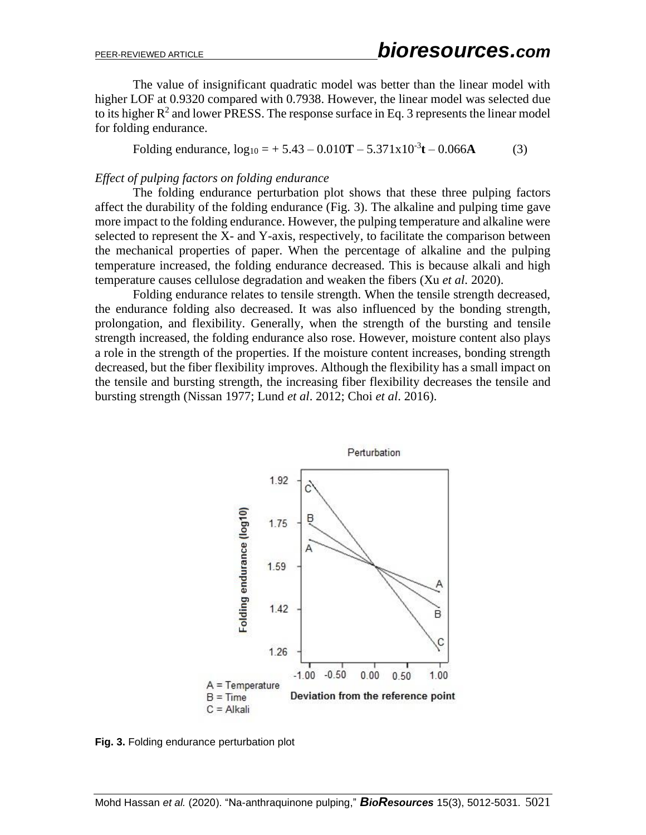The value of insignificant quadratic model was better than the linear model with higher LOF at 0.9320 compared with 0.7938. However, the linear model was selected due to its higher  $R^2$  and lower PRESS. The response surface in Eq. 3 represents the linear model for folding endurance.

Folding endurance,  $log_{10} = +5.43 - 0.010T - 5.371x10^{-3}t - 0.066A$  (3)

#### *Effect of pulping factors on folding endurance*

The folding endurance perturbation plot shows that these three pulping factors affect the durability of the folding endurance (Fig. 3). The alkaline and pulping time gave more impact to the folding endurance. However, the pulping temperature and alkaline were selected to represent the X- and Y-axis, respectively, to facilitate the comparison between the mechanical properties of paper. When the percentage of alkaline and the pulping temperature increased, the folding endurance decreased. This is because alkali and high temperature causes cellulose degradation and weaken the fibers (Xu *et al*. 2020).

Folding endurance relates to tensile strength. When the tensile strength decreased, the endurance folding also decreased. It was also influenced by the bonding strength, prolongation, and flexibility. Generally, when the strength of the bursting and tensile strength increased, the folding endurance also rose. However, moisture content also plays a role in the strength of the properties. If the moisture content increases, bonding strength decreased, but the fiber flexibility improves. Although the flexibility has a small impact on the tensile and bursting strength, the increasing fiber flexibility decreases the tensile and bursting strength (Nissan 1977; Lund *et al*. 2012; Choi *et al*. 2016).



**Fig. 3.** Folding endurance perturbation plot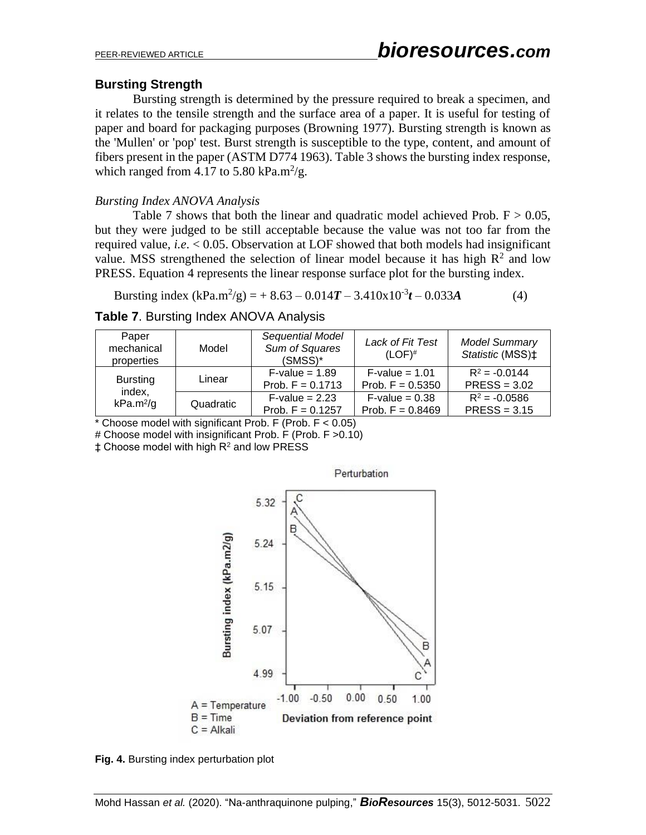# **Bursting Strength**

Bursting strength is determined by the pressure required to break a specimen, and it relates to the tensile strength and the surface area of a paper. It is useful for testing of paper and board for packaging purposes (Browning 1977). Bursting strength is known as the 'Mullen' or 'pop' test. Burst strength is susceptible to the type, content, and amount of fibers present in the paper (ASTM D774 1963). Table 3 shows the bursting index response, which ranged from 4.17 to 5.80 kPa.m<sup>2</sup>/g.

# *Bursting Index ANOVA Analysis*

Table 7 shows that both the linear and quadratic model achieved Prob.  $F > 0.05$ , but they were judged to be still acceptable because the value was not too far from the required value, *i.e*. < 0.05. Observation at LOF showed that both models had insignificant value. MSS strengthened the selection of linear model because it has high  $R^2$  and low PRESS. Equation 4 represents the linear response surface plot for the bursting index.

Bursting index  $(kPa.m^2/g) = +8.63 - 0.014T - 3.410x10^{-3}t - 0.033A$  (4)

|  | <b>Table 7. Bursting Index ANOVA Analysis</b> |
|--|-----------------------------------------------|
|--|-----------------------------------------------|

| Paper<br>mechanical<br>properties | Model     | Sequential Model<br>Sum of Squares<br>$(SMSS)^*$ | Lack of Fit Test<br>$(LOF)^#$                 | <b>Model Summary</b><br>Statistic (MSS) <sup>+</sup> |
|-----------------------------------|-----------|--------------------------------------------------|-----------------------------------------------|------------------------------------------------------|
| <b>Bursting</b>                   | Linear    | $F-value = 1.89$<br>Prob. $F = 0.1713$           | $F-value = 1.01$<br>Prob. $F = 0.5350$        | $R^2 = -0.0144$<br>$PRESS = 3.02$                    |
| index,<br>$kPa.m^2/g$             | Quadratic | $F\text{-value} = 2.23$<br>Prob. $F = 0.1257$    | $F\text{-value} = 0.38$<br>Prob. $F = 0.8469$ | $R^2 = -0.0586$<br>$PRESS = 3.15$                    |

 $*$  Choose model with significant Prob. F (Prob.  $F < 0.05$ )

# Choose model with insignificant Prob. F (Prob. F >0.10)

 $\ddagger$  Choose model with high R<sup>2</sup> and low PRESS



Perturbation

**Fig. 4.** Bursting index perturbation plot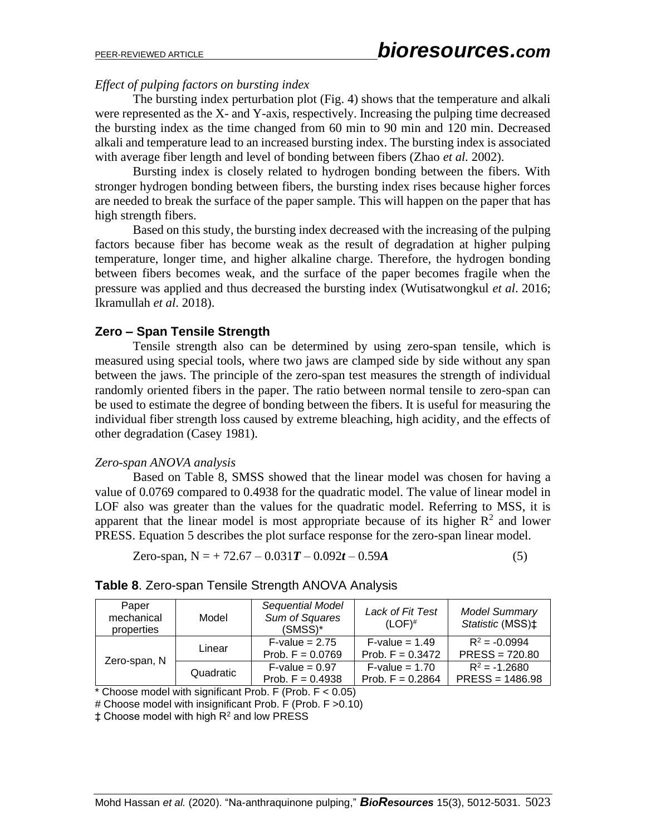#### *Effect of pulping factors on bursting index*

The bursting index perturbation plot (Fig. 4) shows that the temperature and alkali were represented as the X- and Y-axis, respectively. Increasing the pulping time decreased the bursting index as the time changed from 60 min to 90 min and 120 min. Decreased alkali and temperature lead to an increased bursting index. The bursting index is associated with average fiber length and level of bonding between fibers (Zhao *et al.* 2002).

Bursting index is closely related to hydrogen bonding between the fibers. With stronger hydrogen bonding between fibers, the bursting index rises because higher forces are needed to break the surface of the paper sample. This will happen on the paper that has high strength fibers.

Based on this study, the bursting index decreased with the increasing of the pulping factors because fiber has become weak as the result of degradation at higher pulping temperature, longer time, and higher alkaline charge. Therefore, the hydrogen bonding between fibers becomes weak, and the surface of the paper becomes fragile when the pressure was applied and thus decreased the bursting index (Wutisatwongkul *et al*. 2016; Ikramullah *et al*. 2018).

### **Zero – Span Tensile Strength**

Tensile strength also can be determined by using zero-span tensile, which is measured using special tools, where two jaws are clamped side by side without any span between the jaws. The principle of the zero-span test measures the strength of individual randomly oriented fibers in the paper. The ratio between normal tensile to zero-span can be used to estimate the degree of bonding between the fibers. It is useful for measuring the individual fiber strength loss caused by extreme bleaching, high acidity, and the effects of other degradation (Casey 1981).

#### *Zero-span ANOVA analysis*

Based on Table 8, SMSS showed that the linear model was chosen for having a value of 0.0769 compared to 0.4938 for the quadratic model. The value of linear model in LOF also was greater than the values for the quadratic model. Referring to MSS, it is apparent that the linear model is most appropriate because of its higher  $\mathbb{R}^2$  and lower PRESS. Equation 5 describes the plot surface response for the zero-span linear model.

Zero-span, N = + 72.67 – 0.031T – 0.092t – 0.59A 
$$
(5)
$$

# **Table 8**. Zero-span Tensile Strength ANOVA Analysis

| Paper<br>mechanical<br>properties | Model     | Sequential Model<br>Sum of Squares<br>$(SMSS)^*$ | Lack of Fit Test<br>$(LOF)^{#}$               | <b>Model Summary</b><br>Statistic (MSS) <sup>+</sup> |
|-----------------------------------|-----------|--------------------------------------------------|-----------------------------------------------|------------------------------------------------------|
|                                   | Linear    | $F-value = 2.75$<br>Prob. $F = 0.0769$           | $F\text{-value} = 1.49$<br>Prob. $F = 0.3472$ | $R^2 = -0.0994$<br>$PRESS = 720.80$                  |
| Zero-span, N                      | Quadratic | $F\text{-value} = 0.97$<br>Prob. $F = 0.4938$    | $F-value = 1.70$<br>Prob. $F = 0.2864$        | $R^2 = -1.2680$<br>$PRESS = 1486.98$                 |

\* Choose model with significant Prob. F (Prob.  $F < 0.05$ )

# Choose model with insignificant Prob. F (Prob. F >0.10)

‡ Choose model with high R<sup>2</sup> and low PRESS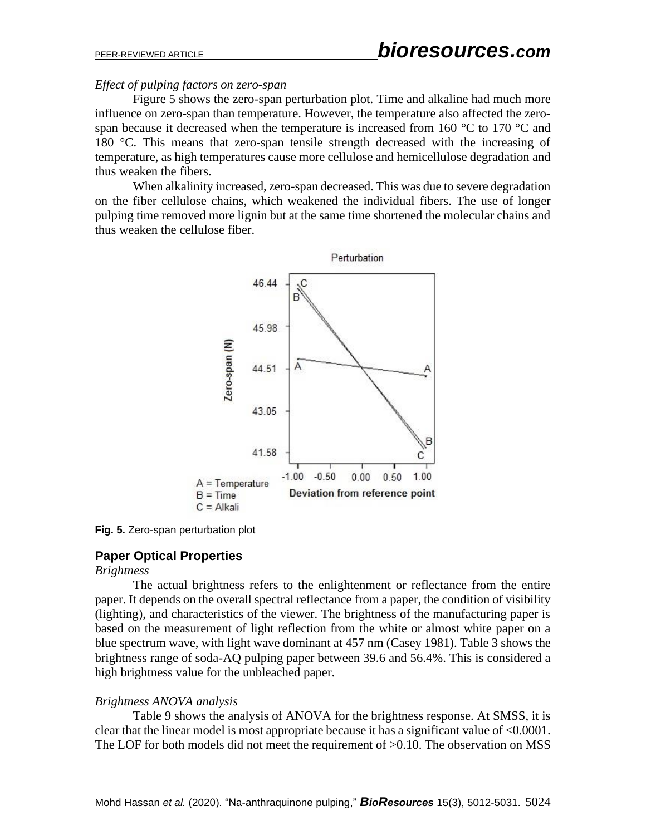#### *Effect of pulping factors on zero-span*

Figure 5 shows the zero-span perturbation plot. Time and alkaline had much more influence on zero-span than temperature. However, the temperature also affected the zerospan because it decreased when the temperature is increased from 160 °C to 170 °C and 180 °C. This means that zero-span tensile strength decreased with the increasing of temperature, as high temperatures cause more cellulose and hemicellulose degradation and thus weaken the fibers.

When alkalinity increased, zero-span decreased. This was due to severe degradation on the fiber cellulose chains, which weakened the individual fibers. The use of longer pulping time removed more lignin but at the same time shortened the molecular chains and thus weaken the cellulose fiber.



**Fig. 5.** Zero-span perturbation plot

# **Paper Optical Properties**

#### *Brightness*

The actual brightness refers to the enlightenment or reflectance from the entire paper. It depends on the overall spectral reflectance from a paper, the condition of visibility (lighting), and characteristics of the viewer. The brightness of the manufacturing paper is based on the measurement of light reflection from the white or almost white paper on a blue spectrum wave, with light wave dominant at 457 nm (Casey 1981). Table 3 shows the brightness range of soda-AQ pulping paper between 39.6 and 56.4%. This is considered a high brightness value for the unbleached paper.

# *Brightness ANOVA analysis*

Table 9 shows the analysis of ANOVA for the brightness response. At SMSS, it is clear that the linear model is most appropriate because it has a significant value of <0.0001. The LOF for both models did not meet the requirement of  $>0.10$ . The observation on MSS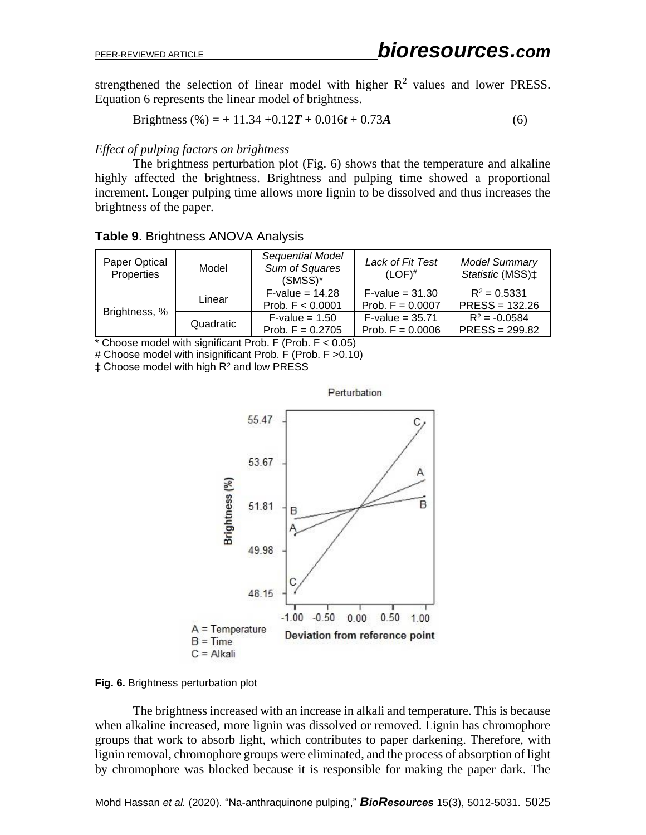strengthened the selection of linear model with higher  $R^2$  values and lower PRESS. Equation 6 represents the linear model of brightness.

Brightness (
$$
\%
$$
) = + 11.34 +0.12T + 0.016t + 0.73A (6)

#### *Effect of pulping factors on brightness*

The brightness perturbation plot (Fig. 6) shows that the temperature and alkaline highly affected the brightness. Brightness and pulping time showed a proportional increment. Longer pulping time allows more lignin to be dissolved and thus increases the brightness of the paper.

#### **Table 9**. Brightness ANOVA Analysis

| Paper Optical<br>Properties | Model     | Sequential Model<br>Sum of Squares<br>$(SMSS)^*$ | Lack of Fit Test<br>$(LOF)^#$                  | <b>Model Summary</b><br>Statistic (MSS) <sup>+</sup> |
|-----------------------------|-----------|--------------------------------------------------|------------------------------------------------|------------------------------------------------------|
| Brightness, %               | Linear    | $F\text{-value} = 14.28$<br>Prob. $F < 0.0001$   | $F\text{-value} = 31.30$<br>Prob. $F = 0.0007$ | $R^2 = 0.5331$<br>$PRESS = 132.26$                   |
|                             | Quadratic | $F\text{-value} = 1.50$<br>Prob. $F = 0.2705$    | $F\text{-value} = 35.71$<br>Prob. $F = 0.0006$ | $R^2 = -0.0584$<br>$PRESS = 299.82$                  |

 $*$  Choose model with significant Prob. F (Prob.  $F < 0.05$ )

# Choose model with insignificant Prob. F (Prob. F >0.10)

 $±$  Choose model with high  $R<sup>2</sup>$  and low PRESS



#### **Fig. 6.** Brightness perturbation plot

The brightness increased with an increase in alkali and temperature. This is because when alkaline increased, more lignin was dissolved or removed. Lignin has chromophore groups that work to absorb light, which contributes to paper darkening. Therefore, with lignin removal, chromophore groups were eliminated, and the process of absorption of light by chromophore was blocked because it is responsible for making the paper dark. The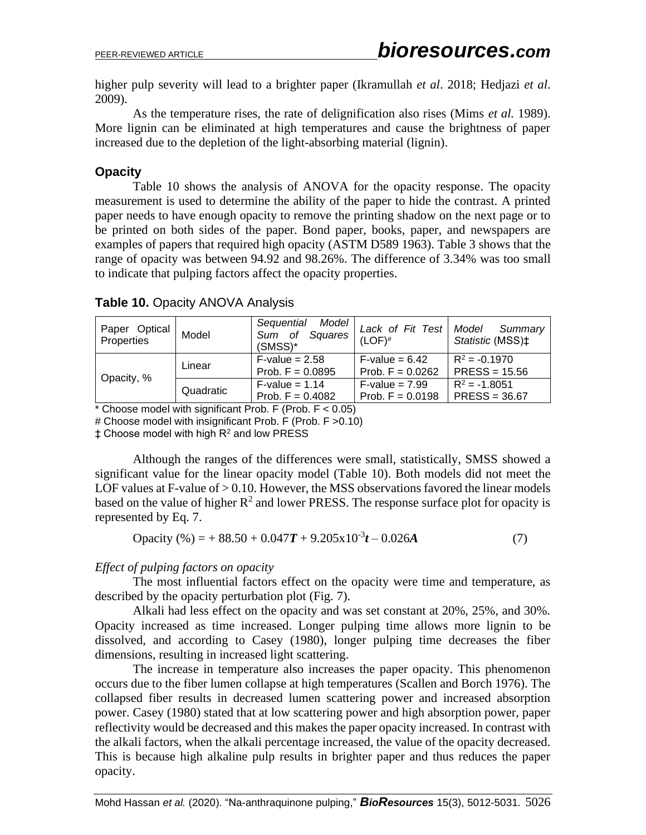higher pulp severity will lead to a brighter paper (Ikramullah *et al*. 2018; Hedjazi *et al*. 2009).

As the temperature rises, the rate of delignification also rises (Mims *et al.* 1989). More lignin can be eliminated at high temperatures and cause the brightness of paper increased due to the depletion of the light-absorbing material (lignin).

# **Opacity**

Table 10 shows the analysis of ANOVA for the opacity response. The opacity measurement is used to determine the ability of the paper to hide the contrast. A printed paper needs to have enough opacity to remove the printing shadow on the next page or to be printed on both sides of the paper. Bond paper, books, paper, and newspapers are examples of papers that required high opacity (ASTM D589 1963). Table 3 shows that the range of opacity was between 94.92 and 98.26%. The difference of 3.34% was too small to indicate that pulping factors affect the opacity properties.

| Paper Optical<br>Properties | Model     | Model<br>Sequential<br>Sum of Squares<br>$(SMSS)^*$ | Lack of Fit Test<br>$(LOF)^#$                 | Model<br>Summary<br>Statistic (MSS)‡ |
|-----------------------------|-----------|-----------------------------------------------------|-----------------------------------------------|--------------------------------------|
| Opacity, %                  | Linear    | $F$ -value = 2.58<br>Prob. $F = 0.0895$             | $F\text{-value} = 6.42$<br>Prob. $F = 0.0262$ | $R^2 = -0.1970$<br>$PRESS = 15.56$   |
|                             | Quadratic | $F-value = 1.14$<br>Prob. $F = 0.4082$              | $F-value = 7.99$<br>Prob. $F = 0.0198$        | $R^2 = -1.8051$<br>$PRESS = 36.67$   |

# **Table 10.** Opacity ANOVA Analysis

 $*$  Choose model with significant Prob. F (Prob.  $F < 0.05$ )

# Choose model with insignificant Prob. F (Prob. F >0.10)

 $±$  Choose model with high  $R<sup>2</sup>$  and low PRESS

Although the ranges of the differences were small, statistically, SMSS showed a significant value for the linear opacity model (Table 10). Both models did not meet the LOF values at F-value of  $> 0.10$ . However, the MSS observations favored the linear models based on the value of higher  $R^2$  and lower PRESS. The response surface plot for opacity is represented by Eq. 7.

$$
Opacity (%) = +88.50 + 0.047T + 9.205 \times 10^{-3}t - 0.026A
$$
 (7)

# *Effect of pulping factors on opacity*

The most influential factors effect on the opacity were time and temperature, as described by the opacity perturbation plot (Fig. 7).

Alkali had less effect on the opacity and was set constant at 20%, 25%, and 30%. Opacity increased as time increased. Longer pulping time allows more lignin to be dissolved, and according to Casey (1980), longer pulping time decreases the fiber dimensions, resulting in increased light scattering.

The increase in temperature also increases the paper opacity. This phenomenon occurs due to the fiber lumen collapse at high temperatures (Scallen and Borch 1976). The collapsed fiber results in decreased lumen scattering power and increased absorption power. Casey (1980) stated that at low scattering power and high absorption power, paper reflectivity would be decreased and this makes the paper opacity increased. In contrast with the alkali factors, when the alkali percentage increased, the value of the opacity decreased. This is because high alkaline pulp results in brighter paper and thus reduces the paper opacity.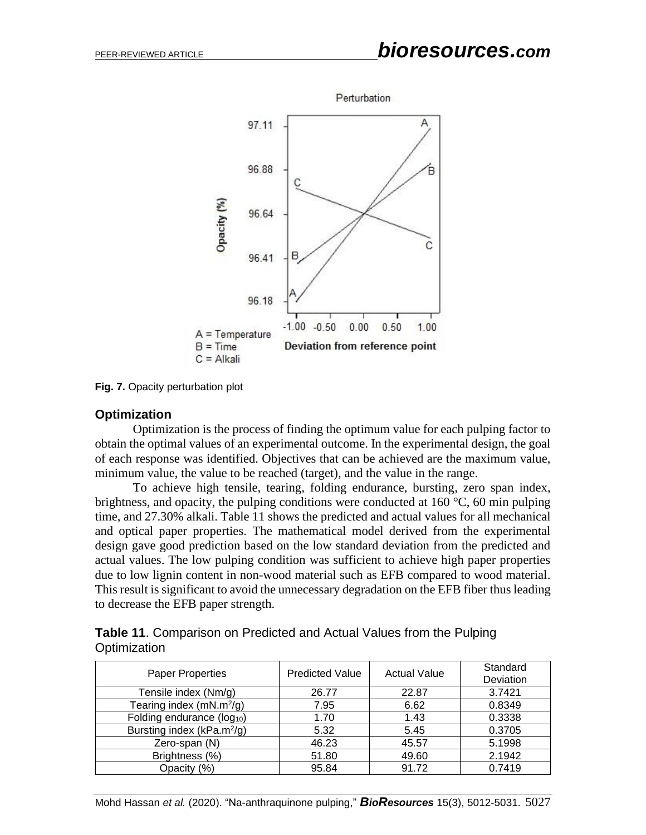

**Fig. 7.** Opacity perturbation plot

#### **Optimization**

Optimization is the process of finding the optimum value for each pulping factor to obtain the optimal values of an experimental outcome. In the experimental design, the goal of each response was identified. Objectives that can be achieved are the maximum value, minimum value, the value to be reached (target), and the value in the range.

To achieve high tensile, tearing, folding endurance, bursting, zero span index, brightness, and opacity, the pulping conditions were conducted at  $160 \degree C$ , 60 min pulping time, and 27.30% alkali. Table 11 shows the predicted and actual values for all mechanical and optical paper properties. The mathematical model derived from the experimental design gave good prediction based on the low standard deviation from the predicted and actual values. The low pulping condition was sufficient to achieve high paper properties due to low lignin content in non-wood material such as EFB compared to wood material. This result is significant to avoid the unnecessary degradation on the EFB fiber thus leading to decrease the EFB paper strength.

| Table 11. Comparison on Predicted and Actual Values from the Pulping |  |
|----------------------------------------------------------------------|--|
| Optimization                                                         |  |

| <b>Paper Properties</b>                | <b>Predicted Value</b> | <b>Actual Value</b> | Standard<br>Deviation |
|----------------------------------------|------------------------|---------------------|-----------------------|
| Tensile index (Nm/g)                   | 26.77                  | 22.87               | 3.7421                |
| Tearing index $(mN.m^2/g)$             | 7.95                   | 6.62                | 0.8349                |
| Folding endurance (log <sub>10</sub> ) | 1.70                   | 1.43                | 0.3338                |
| Bursting index (kPa.m <sup>2</sup> /g) | 5.32                   | 5.45                | 0.3705                |
| Zero-span (N)                          | 46.23                  | 45.57               | 5.1998                |
| Brightness (%)                         | 51.80                  | 49.60               | 2.1942                |
| Opacity (%)                            | 95.84                  | 91.72               | 0.7419                |

Mohd Hassan *et al.* (2020). "Na-anthraquinone pulping," *BioResources* 15(3), 5012-5031. 5027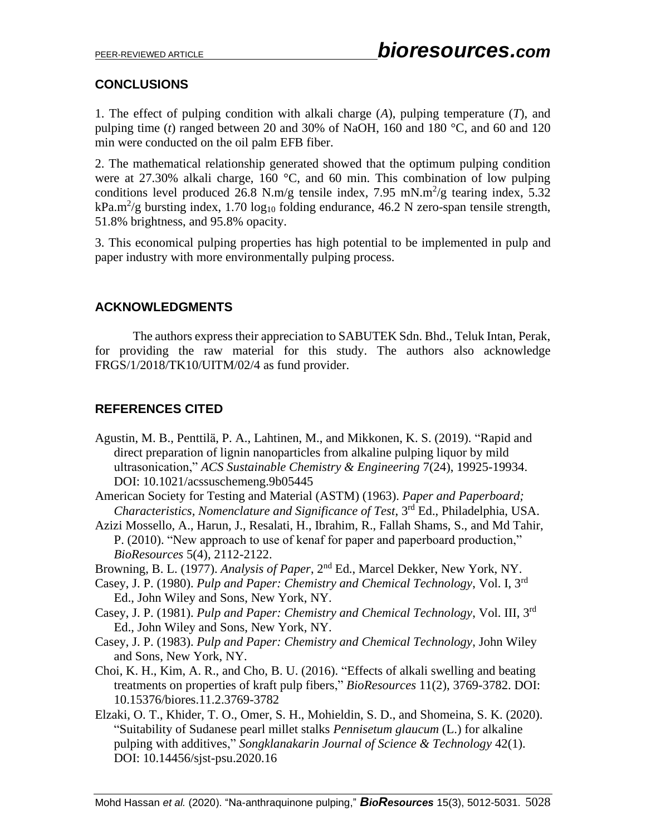# **CONCLUSIONS**

1. The effect of pulping condition with alkali charge (*A*), pulping temperature (*T*), and pulping time (*t*) ranged between 20 and 30% of NaOH, 160 and 180  $^{\circ}$ C, and 60 and 120 min were conducted on the oil palm EFB fiber.

2. The mathematical relationship generated showed that the optimum pulping condition were at 27.30% alkali charge, 160 °C, and 60 min. This combination of low pulping conditions level produced 26.8 N.m/g tensile index, 7.95 mN.m<sup>2</sup>/g tearing index, 5.32 kPa.m<sup>2</sup>/g bursting index, 1.70 log<sub>10</sub> folding endurance, 46.2 N zero-span tensile strength, 51.8% brightness, and 95.8% opacity.

3. This economical pulping properties has high potential to be implemented in pulp and paper industry with more environmentally pulping process.

# **ACKNOWLEDGMENTS**

The authors express their appreciation to SABUTEK Sdn. Bhd., Teluk Intan, Perak, for providing the raw material for this study. The authors also acknowledge FRGS/1/2018/TK10/UITM/02/4 as fund provider.

# **REFERENCES CITED**

- Agustin, M. B., Penttilä, P. A., Lahtinen, M., and Mikkonen, K. S. (2019). "Rapid and direct preparation of lignin nanoparticles from alkaline pulping liquor by mild ultrasonication," *ACS Sustainable Chemistry & Engineering* 7(24), 19925-19934. DOI: 10.1021/acssuschemeng.9b05445
- American Society for Testing and Material (ASTM) (1963). *Paper and Paperboard;*  Characteristics, Nomenclature and Significance of Test, 3<sup>rd</sup> Ed., Philadelphia, USA.
- Azizi Mossello, A., Harun, J., Resalati, H., Ibrahim, R., Fallah Shams, S., and Md Tahir, P. (2010). "New approach to use of kenaf for paper and paperboard production," *BioResources* 5(4), 2112-2122.
- Browning, B. L. (1977). *Analysis of Paper*, 2<sup>nd</sup> Ed., Marcel Dekker, New York, NY.
- Casey, J. P. (1980). *Pulp and Paper: Chemistry and Chemical Technology*, Vol. I, 3rd Ed., John Wiley and Sons, New York, NY.
- Casey, J. P. (1981). *Pulp and Paper: Chemistry and Chemical Technology*, Vol. III, 3 rd Ed., John Wiley and Sons, New York, NY.
- Casey, J. P. (1983). *Pulp and Paper: Chemistry and Chemical Technology*, John Wiley and Sons, New York, NY.
- Choi, K. H., Kim, A. R., and Cho, B. U. (2016). "Effects of alkali swelling and beating treatments on properties of kraft pulp fibers," *BioResources* 11(2), 3769-3782. DOI: 10.15376/biores.11.2.3769-3782
- Elzaki, O. T., Khider, T. O., Omer, S. H., Mohieldin, S. D., and Shomeina, S. K. (2020). "Suitability of Sudanese pearl millet stalks *Pennisetum glaucum* (L.) for alkaline pulping with additives," *Songklanakarin Journal of Science & Technology* 42(1). DOI: 10.14456/sjst-psu.2020.16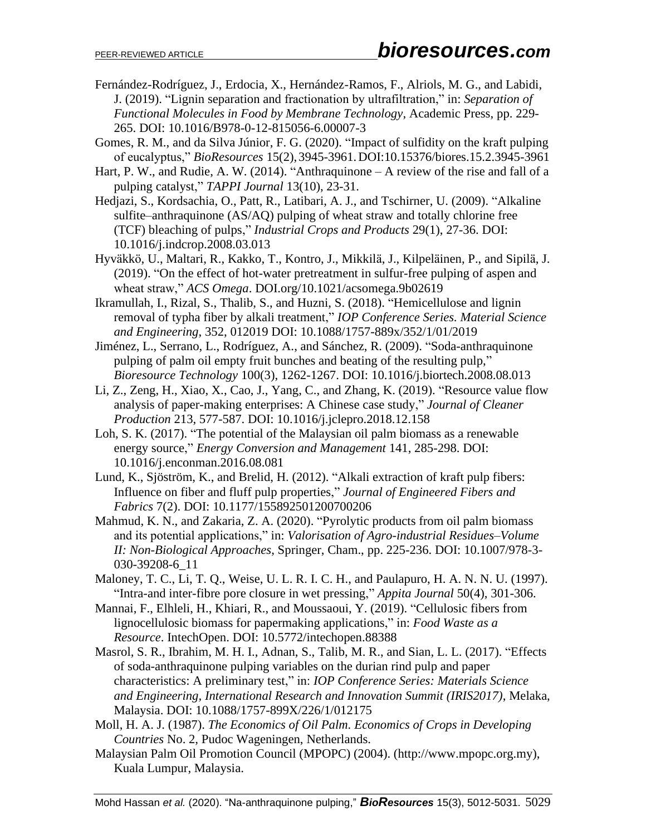- Fernández-Rodríguez, J., Erdocia, X., Hernández-Ramos, F., Alriols, M. G., and Labidi, J. (2019). "Lignin separation and fractionation by ultrafiltration," in: *Separation of Functional Molecules in Food by Membrane Technology*, Academic Press, pp. 229- 265. DOI: 10.1016/B978-0-12-815056-6.00007-3
- Gomes, R. M., and da Silva Júnior, F. G. (2020). "Impact of sulfidity on the kraft pulping of eucalyptus," *BioResources* 15(2), 3945-3961.DOI:10.15376/biores.15.2.3945-3961
- Hart, P. W., and Rudie, A. W. (2014). "Anthraquinone A review of the rise and fall of a pulping catalyst," *TAPPI Journal* 13(10), 23-31.
- Hedjazi, S., Kordsachia, O., Patt, R., Latibari, A. J., and Tschirner, U. (2009). "Alkaline sulfite–anthraquinone (AS/AQ) pulping of wheat straw and totally chlorine free (TCF) bleaching of pulps," *Industrial Crops and Products* 29(1), 27-36. DOI: 10.1016/j.indcrop.2008.03.013
- Hyväkkö, U., Maltari, R., Kakko, T., Kontro, J., Mikkilä, J., Kilpeläinen, P., and Sipilä, J. (2019). "On the effect of hot-water pretreatment in sulfur-free pulping of aspen and wheat straw," *ACS Omega*. DOI.org/10.1021/acsomega.9b02619
- Ikramullah, I., Rizal, S., Thalib, S., and Huzni, S. (2018). "Hemicellulose and lignin removal of typha fiber by alkali treatment," *IOP Conference Series. Material Science and Engineering*, 352, 012019 DOI: 10.1088/1757-889x/352/1/01/2019
- Jiménez, L., Serrano, L., Rodríguez, A., and Sánchez, R. (2009). "Soda-anthraquinone pulping of palm oil empty fruit bunches and beating of the resulting pulp," *Bioresource Technology* 100(3), 1262-1267. DOI: 10.1016/j.biortech.2008.08.013
- Li, Z., Zeng, H., Xiao, X., Cao, J., Yang, C., and Zhang, K. (2019). "Resource value flow analysis of paper-making enterprises: A Chinese case study," *Journal of Cleaner Production* 213, 577-587. [DOI: 10.1016/j.jclepro.2018.12.158](https://doi.org/10.1016/j.jclepro.2018.12.158)
- Loh, S. K. (2017). "The potential of the Malaysian oil palm biomass as a renewable energy source," *Energy Conversion and Management* 141, 285-298. DOI: 10.1016/j.enconman.2016.08.081
- Lund, K., Sjöström, K., and Brelid, H. (2012). "Alkali extraction of kraft pulp fibers: Influence on fiber and fluff pulp properties," *Journal of Engineered Fibers and Fabrics* 7(2). DOI: 10.1177/155892501200700206
- Mahmud, K. N., and Zakaria, Z. A. (2020). "Pyrolytic products from oil palm biomass and its potential applications," in: *Valorisation of Agro-industrial Residues–Volume II: Non-Biological Approaches*, Springer, Cham., pp. 225-236. [DOI: 10.1007/978-3-](https://doi.org/10.1007/978-3-030-39208-6_11) [030-39208-6\\_11](https://doi.org/10.1007/978-3-030-39208-6_11)
- Maloney, T. C., Li, T. Q., Weise, U. L. R. I. C. H., and Paulapuro, H. A. N. N. U. (1997). "Intra-and inter-fibre pore closure in wet pressing," *Appita Journal* 50(4), 301-306.
- Mannai, F., Elhleli, H., Khiari, R., and Moussaoui, Y. (2019). "Cellulosic fibers from lignocellulosic biomass for papermaking applications," in: *Food Waste as a Resource*. IntechOpen. DOI: 10.5772/intechopen.88388
- Masrol, S. R., Ibrahim, M. H. I., Adnan, S., Talib, M. R., and Sian, L. L. (2017). "Effects of soda-anthraquinone pulping variables on the durian rind pulp and paper characteristics: A preliminary test," in: *IOP Conference Series: Materials Science and Engineering, International Research and Innovation Summit (IRIS2017)*, Melaka, Malaysia. DOI: 10.1088/1757-899X/226/1/012175
- Moll, H. A. J. (1987). *The Economics of Oil Palm. Economics of Crops in Developing Countries* No. 2, Pudoc Wageningen, Netherlands.
- Malaysian Palm Oil Promotion Council (MPOPC) (2004). (http://www.mpopc.org.my), Kuala Lumpur, Malaysia.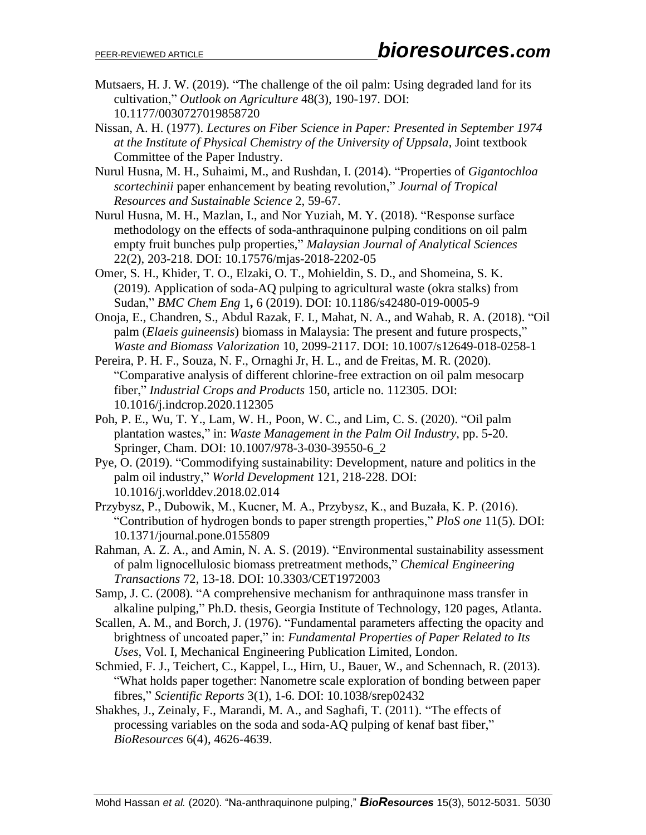- Mutsaers, H. J. W. (2019). "The challenge of the oil palm: Using degraded land for its cultivation," *Outlook on Agriculture* 48(3), 190-197. DOI: 10.1177/0030727019858720
- Nissan, A. H. (1977). *Lectures on Fiber Science in Paper: Presented in September 1974 at the Institute of Physical Chemistry of the University of Uppsala*, Joint textbook Committee of the Paper Industry.
- Nurul Husna, M. H., Suhaimi, M., and Rushdan, I. (2014). "Properties of *Gigantochloa scortechinii* paper enhancement by beating revolution," *Journal of Tropical Resources and Sustainable Science* 2, 59-67.
- Nurul Husna, M. H., Mazlan, I., and Nor Yuziah, M. Y. (2018). "Response surface methodology on the effects of soda-anthraquinone pulping conditions on oil palm empty fruit bunches pulp properties," *Malaysian Journal of Analytical Sciences* 22(2), 203-218. DOI: 10.17576/mjas-2018-2202-05
- Omer, S. H., Khider, T. O., Elzaki, O. T., Mohieldin, S. D., and Shomeina, S. K. (2019)*.* Application of soda-AQ pulping to agricultural waste (okra stalks) from Sudan," *BMC Chem Eng* 1**,** 6 (2019). DOI: 10.1186/s42480-019-0005-9
- Onoja, E., Chandren, S., Abdul Razak, F. I., Mahat, N. A., and Wahab, R. A. (2018). "Oil palm (*Elaeis guineensis*) biomass in Malaysia: The present and future prospects," *Waste and Biomass Valorization* 10, 2099-2117. DOI: 10.1007/s12649-018-0258-1
- Pereira, P. H. F., Souza, N. F., Ornaghi Jr, H. L., and de Freitas, M. R. (2020). "Comparative analysis of different chlorine-free extraction on oil palm mesocarp fiber," *Industrial Crops and Products* 150, article no. 112305. [DOI:](https://doi.org/10.1016/j.indcrop.2020.112305)  [10.1016/j.indcrop.2020.112305](https://doi.org/10.1016/j.indcrop.2020.112305)
- Poh, P. E., Wu, T. Y., Lam, W. H., Poon, W. C., and Lim, C. S. (2020). "Oil palm plantation wastes," in: *Waste Management in the Palm Oil Industry*, pp. 5-20. Springer, Cham. DOI: 10.1007/978-3-030-39550-6\_2
- Pye, O. (2019). "Commodifying sustainability: Development, nature and politics in the palm oil industry," *World Development* 121, 218-228. DOI: 10.1016/j.worlddev.2018.02.014
- Przybysz, P., Dubowik, M., Kucner, M. A., Przybysz, K., and Buzała, K. P. (2016). "Contribution of hydrogen bonds to paper strength properties," *PloS one* 11(5). DOI: 10.1371/journal.pone.0155809
- Rahman, A. Z. A., and Amin, N. A. S. (2019). "Environmental sustainability assessment of palm lignocellulosic biomass pretreatment methods," *Chemical Engineering Transactions* 72, 13-18. [DOI: 10.3303/CET1972003](https://doi.org/10.3303/CET1972003)
- Samp, J. C. (2008). "A comprehensive mechanism for anthraquinone mass transfer in alkaline pulping," Ph.D. thesis, Georgia Institute of Technology, 120 pages, Atlanta.
- Scallen, A. M., and Borch, J. (1976). "Fundamental parameters affecting the opacity and brightness of uncoated paper," in: *Fundamental Properties of Paper Related to Its Uses*, Vol. I, Mechanical Engineering Publication Limited, London.
- Schmied, F. J., Teichert, C., Kappel, L., Hirn, U., Bauer, W., and Schennach, R. (2013). "What holds paper together: Nanometre scale exploration of bonding between paper fibres," *Scientific Reports* 3(1), 1-6. DOI: 10.1038/srep02432
- Shakhes, J., Zeinaly, F., Marandi, M. A., and Saghafi, T. (2011). "The effects of processing variables on the soda and soda-AQ pulping of kenaf bast fiber," *BioResources* 6(4), 4626-4639.